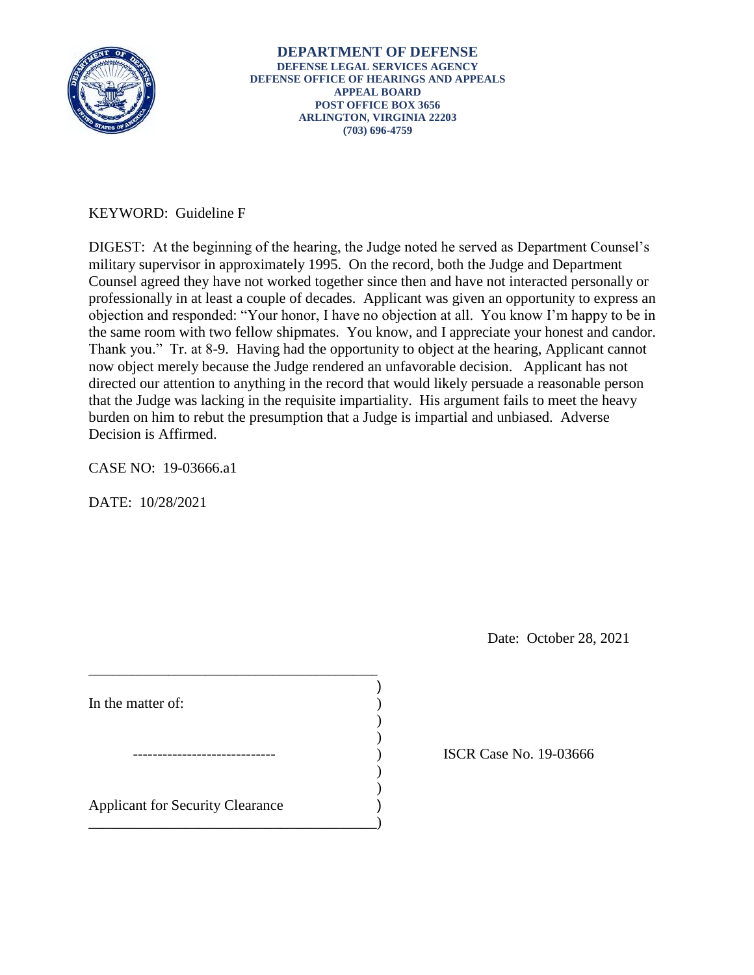

# KEYWORD: Guideline F

the same room with two fellow shipmates. You know, and I appreciate your honest and candor. DIGEST: At the beginning of the hearing, the Judge noted he served as Department Counsel's military supervisor in approximately 1995. On the record, both the Judge and Department Counsel agreed they have not worked together since then and have not interacted personally or professionally in at least a couple of decades. Applicant was given an opportunity to express an objection and responded: "Your honor, I have no objection at all. You know I'm happy to be in Thank you." Tr. at 8-9. Having had the opportunity to object at the hearing, Applicant cannot now object merely because the Judge rendered an unfavorable decision. Applicant has not directed our attention to anything in the record that would likely persuade a reasonable person that the Judge was lacking in the requisite impartiality. His argument fails to meet the heavy burden on him to rebut the presumption that a Judge is impartial and unbiased. Adverse Decision is Affirmed.

)

) )

CASE NO: 19-03666.a1

DATE: 10/28/2021

Date: October 28, 2021

In the matter of:  $\qquad \qquad$  )

 $\overline{\phantom{a}}$ Applicant for Security Clearance )

\_\_\_\_\_\_\_\_\_\_\_\_\_\_\_\_\_\_\_\_\_\_\_\_\_\_\_\_\_\_\_\_\_\_\_\_\_\_\_\_\_\_\_\_\_\_\_

 $)$ 

\_\_\_\_\_\_\_\_\_\_\_\_\_\_\_\_\_\_\_\_\_\_\_\_\_\_\_\_\_\_\_\_\_\_\_\_\_\_\_)

) ISCR Case No. 19-03666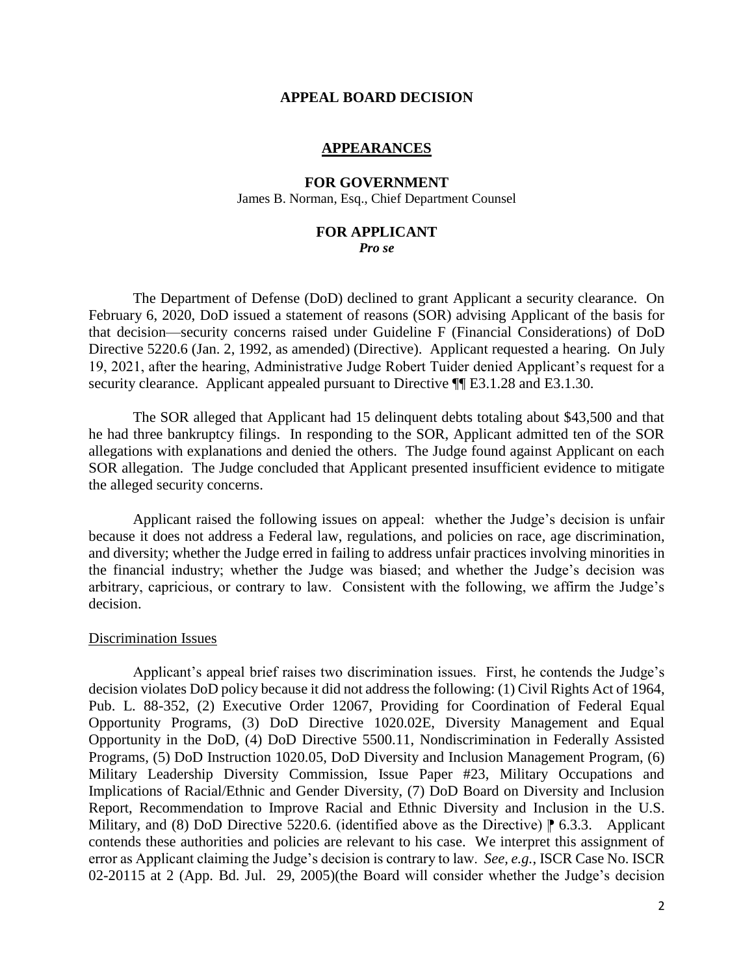#### **APPEAL BOARD DECISION**

### **APPEARANCES**

### **FOR GOVERNMENT**  James B. Norman, Esq., Chief Department Counsel

#### **FOR APPLICANT**  *Pro se*

 The Department of Defense (DoD) declined to grant Applicant a security clearance. On February 6, 2020, DoD issued a statement of reasons (SOR) advising Applicant of the basis for that decision—security concerns raised under Guideline F (Financial Considerations) of DoD Directive 5220.6 (Jan. 2, 1992, as amended) (Directive). Applicant requested a hearing. On July 19, 2021, after the hearing, Administrative Judge Robert Tuider denied Applicant's request for a security clearance. Applicant appealed pursuant to Directive  $\P$ [E3.1.28 and E3.1.30.

 he had three bankruptcy filings. In responding to the SOR, Applicant admitted ten of the SOR allegations with explanations and denied the others. The Judge found against Applicant on each SOR allegation. The Judge concluded that Applicant presented insufficient evidence to mitigate The SOR alleged that Applicant had 15 delinquent debts totaling about \$43,500 and that the alleged security concerns.

 Applicant raised the following issues on appeal: whether the Judge's decision is unfair because it does not address a Federal law, regulations, and policies on race, age discrimination, the financial industry; whether the Judge was biased; and whether the Judge's decision was arbitrary, capricious, or contrary to law. Consistent with the following, we affirm the Judge's and diversity; whether the Judge erred in failing to address unfair practices involving minorities in decision.

### Discrimination Issues

 Applicant's appeal brief raises two discrimination issues. First, he contends the Judge's decision violates DoD policy because it did not address the following: (1) Civil Rights Act of 1964, Pub. L. 88-352, (2) Executive Order 12067, Providing for Coordination of Federal Equal Opportunity Programs, (3) DoD Directive 1020.02E, Diversity Management and Equal Opportunity in the DoD, (4) DoD Directive 5500.11, Nondiscrimination in Federally Assisted Programs, (5) DoD Instruction 1020.05, DoD Diversity and Inclusion Management Program, (6) Implications of Racial/Ethnic and Gender Diversity, (7) DoD Board on Diversity and Inclusion Report, Recommendation to Improve Racial and Ethnic Diversity and Inclusion in the U.S. Military, and (8) DoD Directive 5220.6. (identified above as the Directive)  $\parallel$  6.3.3. Applicant contends these authorities and policies are relevant to his case. We interpret this assignment of error as Applicant claiming the Judge's decision is contrary to law. *See, e.g.*, ISCR Case No. ISCR 02-20115 at 2 (App. Bd. Jul. 29, 2005)(the Board will consider whether the Judge's decision Military Leadership Diversity Commission, Issue Paper #23, Military Occupations and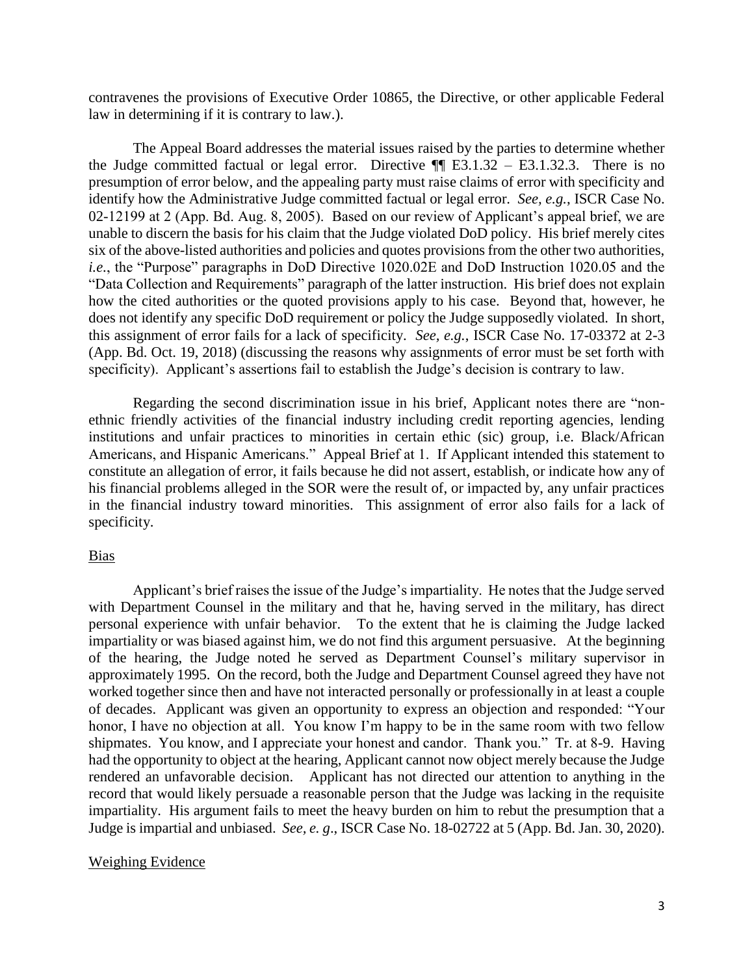contravenes the provisions of Executive Order 10865, the Directive, or other applicable Federal law in determining if it is contrary to law.).

 The Appeal Board addresses the material issues raised by the parties to determine whether the Judge committed factual or legal error. Directive  $\P$  E3.1.32 – E3.1.32.3. There is no presumption of error below, and the appealing party must raise claims of error with specificity and 02-12199 at 2 (App. Bd. Aug. 8, 2005). Based on our review of Applicant's appeal brief, we are unable to discern the basis for his claim that the Judge violated DoD policy. His brief merely cites six of the above-listed authorities and policies and quotes provisions from the other two authorities, *i.e.*, the "Purpose" paragraphs in DoD Directive 1020.02E and DoD Instruction 1020.05 and the "Data Collection and Requirements" paragraph of the latter instruction. His brief does not explain how the cited authorities or the quoted provisions apply to his case. Beyond that, however, he does not identify any specific DoD requirement or policy the Judge supposedly violated. In short, this assignment of error fails for a lack of specificity. *See, e.g.*, ISCR Case No. 17-03372 at 2-3 (App. Bd. Oct. 19, 2018) (discussing the reasons why assignments of error must be set forth with identify how the Administrative Judge committed factual or legal error. *See, e.g.*, ISCR Case No. specificity). Applicant's assertions fail to establish the Judge's decision is contrary to law.

 Regarding the second discrimination issue in his brief, Applicant notes there are "non- ethnic friendly activities of the financial industry including credit reporting agencies, lending Americans, and Hispanic Americans." Appeal Brief at 1. If Applicant intended this statement to constitute an allegation of error, it fails because he did not assert, establish, or indicate how any of his financial problems alleged in the SOR were the result of, or impacted by, any unfair practices in the financial industry toward minorities. This assignment of error also fails for a lack of institutions and unfair practices to minorities in certain ethic (sic) group, i.e. Black/African specificity.

# Bias

 Applicant's brief raises the issue of the Judge's impartiality. He notes that the Judge served personal experience with unfair behavior. To the extent that he is claiming the Judge lacked impartiality or was biased against him, we do not find this argument persuasive. At the beginning of the hearing, the Judge noted he served as Department Counsel's military supervisor in approximately 1995. On the record, both the Judge and Department Counsel agreed they have not worked together since then and have not interacted personally or professionally in at least a couple honor, I have no objection at all. You know I'm happy to be in the same room with two fellow shipmates. You know, and I appreciate your honest and candor. Thank you." Tr. at 8-9. Having had the opportunity to object at the hearing, Applicant cannot now object merely because the Judge rendered an unfavorable decision. Applicant has not directed our attention to anything in the record that would likely persuade a reasonable person that the Judge was lacking in the requisite impartiality. His argument fails to meet the heavy burden on him to rebut the presumption that a with Department Counsel in the military and that he, having served in the military, has direct of decades. Applicant was given an opportunity to express an objection and responded: "Your Judge is impartial and unbiased. *See, e. g*., ISCR Case No. 18-02722 at 5 (App. Bd. Jan. 30, 2020).

# Weighing Evidence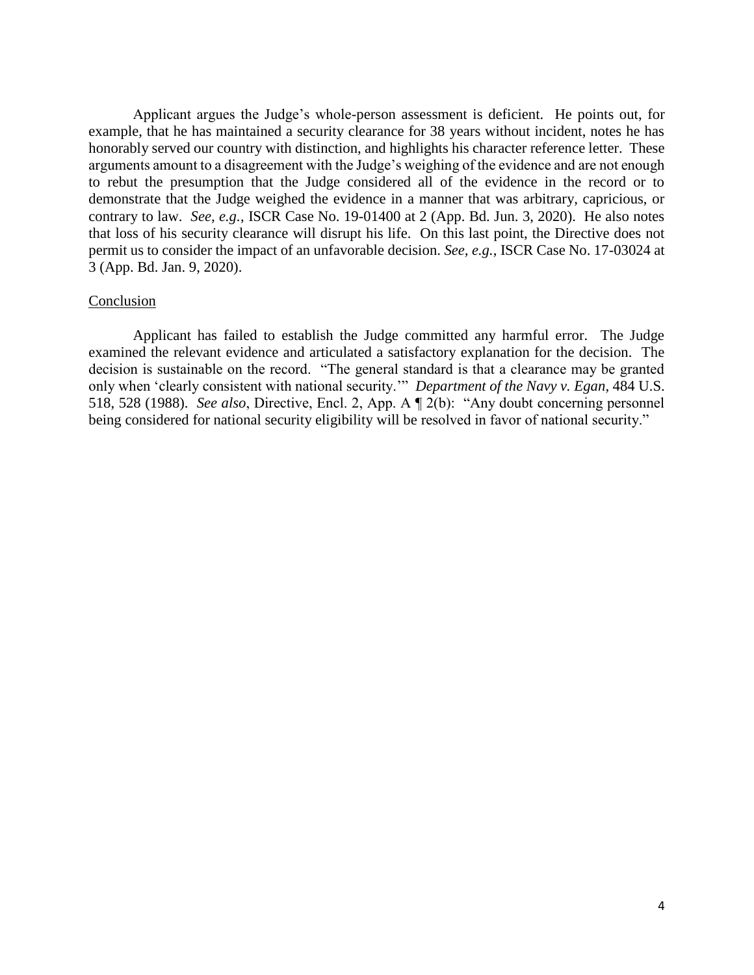Applicant argues the Judge's whole-person assessment is deficient. He points out, for example, that he has maintained a security clearance for 38 years without incident, notes he has honorably served our country with distinction, and highlights his character reference letter. These arguments amount to a disagreement with the Judge's weighing of the evidence and are not enough demonstrate that the Judge weighed the evidence in a manner that was arbitrary, capricious, or contrary to law. *See, e.g.*, ISCR Case No. 19-01400 at 2 (App. Bd. Jun. 3, 2020). He also notes that loss of his security clearance will disrupt his life. On this last point, the Directive does not permit us to consider the impact of an unfavorable decision. *See, e.g.*, ISCR Case No. 17-03024 at to rebut the presumption that the Judge considered all of the evidence in the record or to 3 (App. Bd. Jan. 9, 2020).

# Conclusion

 Applicant has failed to establish the Judge committed any harmful error. The Judge examined the relevant evidence and articulated a satisfactory explanation for the decision. The decision is sustainable on the record. "The general standard is that a clearance may be granted only when 'clearly consistent with national security.'" *Department of the Navy v. Egan*, 484 U.S. 518, 528 (1988). *See also*, Directive, Encl. 2, App. A ¶ 2(b): "Any doubt concerning personnel being considered for national security eligibility will be resolved in favor of national security."